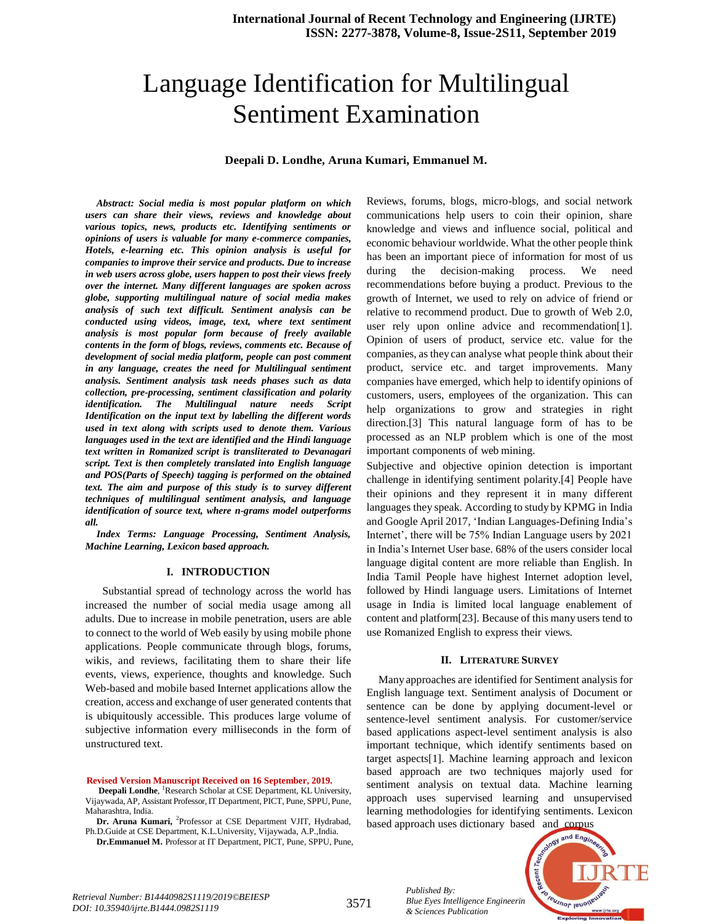# Language Identification for Multilingual Sentiment Examination

## **Deepali D. Londhe, Aruna Kumari, Emmanuel M.**

*Abstract: Social media is most popular platform on which users can share their views, reviews and knowledge about various topics, news, products etc. Identifying sentiments or opinions of users is valuable for many e-commerce companies, Hotels, e-learning etc. This opinion analysis is useful for companies to improve their service and products. Due to increase in web users across globe, users happen to post their views freely over the internet. Many different languages are spoken across globe, supporting multilingual nature of social media makes analysis of such text difficult. Sentiment analysis can be conducted using videos, image, text, where text sentiment analysis is most popular form because of freely available contents in the form of blogs, reviews, comments etc. Because of development of social media platform, people can post comment in any language, creates the need for Multilingual sentiment analysis. Sentiment analysis task needs phases such as data collection, pre-processing, sentiment classification and polarity identification. The Multilingual nature needs Script Identification on the input text by labelling the different words used in text along with scripts used to denote them. Various languages used in the text are identified and the Hindi language text written in Romanized script is transliterated to Devanagari script. Text is then completely translated into English language and POS(Parts of Speech) tagging is performed on the obtained text. The aim and purpose of this study is to survey different techniques of multilingual sentiment analysis, and language identification of source text, where n-grams model outperforms all.*

*Index Terms: Language Processing, Sentiment Analysis, Machine Learning, Lexicon based approach.*

#### **I. INTRODUCTION**

Substantial spread of technology across the world has increased the number of social media usage among all adults. Due to increase in mobile penetration, users are able to connect to the world of Web easily by using mobile phone applications. People communicate through blogs, forums, wikis, and reviews, facilitating them to share their life events, views, experience, thoughts and knowledge. Such Web-based and mobile based Internet applications allow the creation, access and exchange of user generated contents that is ubiquitously accessible. This produces large volume of subjective information every milliseconds in the form of unstructured text.

#### **Revised Version Manuscript Received on 16 September, 2019.**

- Deepali Londhe, <sup>1</sup>Research Scholar at CSE Department, KL University, Vijaywada,AP, Assistant Professor,IT Department, PICT, Pune, SPPU, Pune, Maharashtra, India.
- Dr. Aruna Kumari, <sup>2</sup>Professor at CSE Department VJIT, Hydrabad, Ph.D.Guide at CSE Department, K.L.University, Vijaywada, A.P.,India. **Dr.Emmanuel M.** Professor at IT Department, PICT, Pune, SPPU, Pune,

Reviews, forums, blogs, micro-blogs, and social network communications help users to coin their opinion, share knowledge and views and influence social, political and economic behaviour worldwide. What the other people think has been an important piece of information for most of us during the decision-making process. We need recommendations before buying a product. Previous to the growth of Internet, we used to rely on advice of friend or relative to recommend product. Due to growth of Web 2.0, user rely upon online advice and recommendation[1]. Opinion of users of product, service etc. value for the companies, as theycan analyse what people think about their product, service etc. and target improvements. Many companies have emerged, which help to identify opinions of customers, users, employees of the organization. This can help organizations to grow and strategies in right direction.[3] This natural language form of has to be processed as an NLP problem which is one of the most important components of web mining.

Subjective and objective opinion detection is important challenge in identifying sentiment polarity.[4] People have their opinions and they represent it in many different languages they speak. According to study by KPMG in India and Google April 2017, "Indian Languages-Defining India"s Internet', there will be 75% Indian Language users by 2021 in India"s Internet User base. 68% of the users consider local language digital content are more reliable than English. In India Tamil People have highest Internet adoption level, followed by Hindi language users. Limitations of Internet usage in India is limited local language enablement of content and platform[23]. Because of this many users tend to use Romanized English to express their views.

## **II. LITERATURE SURVEY**

Many approaches are identified for Sentiment analysis for English language text. Sentiment analysis of Document or sentence can be done by applying document-level or sentence-level sentiment analysis. For customer/service based applications aspect-level sentiment analysis is also important technique, which identify sentiments based on target aspects[1]. Machine learning approach and lexicon based approach are two techniques majorly used for sentiment analysis on textual data. Machine learning approach uses supervised learning and unsupervised learning methodologies for identifying sentiments. Lexicon based approach uses dictionary based and corpus



3571 *Retrieval Number: B14440982S1119/2019©BEIESP DOI: 10.35940/ijrte.B1444.0982S1119*

*Published By:*

**Blue Eyes Intelligence Engineerin** *& Sciences Publication*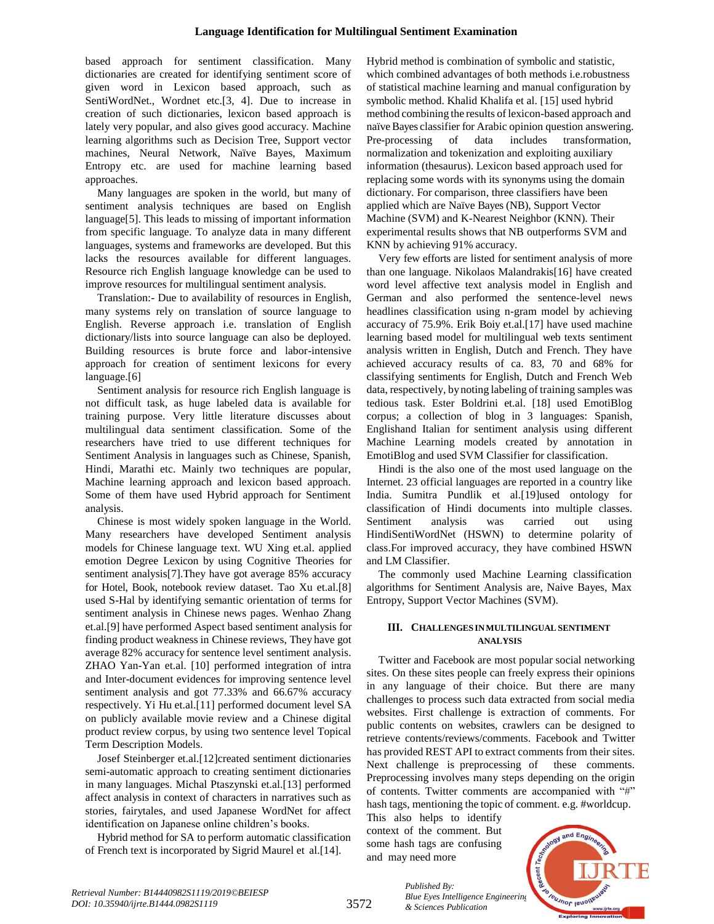based approach for sentiment classification. Many dictionaries are created for identifying sentiment score of given word in Lexicon based approach, such as SentiWordNet., Wordnet etc.[3, 4]. Due to increase in creation of such dictionaries, lexicon based approach is lately very popular, and also gives good accuracy. Machine learning algorithms such as Decision Tree, Support vector machines, Neural Network, Naïve Bayes, Maximum Entropy etc. are used for machine learning based approaches.

Many languages are spoken in the world, but many of sentiment analysis techniques are based on English language[5]. This leads to missing of important information from specific language. To analyze data in many different languages, systems and frameworks are developed. But this lacks the resources available for different languages. Resource rich English language knowledge can be used to improve resources for multilingual sentiment analysis.

Translation:- Due to availability of resources in English, many systems rely on translation of source language to English. Reverse approach i.e. translation of English dictionary/lists into source language can also be deployed. Building resources is brute force and labor-intensive approach for creation of sentiment lexicons for every language.[6]

Sentiment analysis for resource rich English language is not difficult task, as huge labeled data is available for training purpose. Very little literature discusses about multilingual data sentiment classification. Some of the researchers have tried to use different techniques for Sentiment Analysis in languages such as Chinese, Spanish, Hindi, Marathi etc. Mainly two techniques are popular, Machine learning approach and lexicon based approach. Some of them have used Hybrid approach for Sentiment analysis.

Chinese is most widely spoken language in the World. Many researchers have developed Sentiment analysis models for Chinese language text. WU Xing et.al. applied emotion Degree Lexicon by using Cognitive Theories for sentiment analysis[7].They have got average 85% accuracy for Hotel, Book, notebook review dataset. Tao Xu et.al.[8] used S-Hal by identifying semantic orientation of terms for sentiment analysis in Chinese news pages. Wenhao Zhang et.al.[9] have performed Aspect based sentiment analysis for finding product weakness in Chinese reviews, They have got average 82% accuracy for sentence level sentiment analysis. ZHAO Yan-Yan et.al. [10] performed integration of intra and Inter-document evidences for improving sentence level sentiment analysis and got 77.33% and 66.67% accuracy respectively. Yi Hu et.al.[11] performed document level SA on publicly available movie review and a Chinese digital product review corpus, by using two sentence level Topical Term Description Models.

Josef Steinberger et.al.[12]created sentiment dictionaries semi-automatic approach to creating sentiment dictionaries in many languages. Michal Ptaszynski et.al.[13] performed affect analysis in context of characters in narratives such as stories, fairytales, and used Japanese WordNet for affect identification on Japanese online children's books.

Hybrid method for SA to perform automatic classification of French text is incorporated by Sigrid Maurel et al.[14].

Hybrid method is combination of symbolic and statistic, which combined advantages of both methods i.e.robustness of statistical machine learning and manual configuration by symbolic method. Khalid Khalifa et al. [15] used hybrid method combining the results of lexicon-based approach and naïveBayes classifier for Arabic opinion question answering. Pre-processing of data includes transformation, normalization and tokenization and exploiting auxiliary information (thesaurus). Lexicon based approach used for replacing some words with its synonyms using the domain dictionary. For comparison, three classifiers have been applied which are Naïve Bayes (NB), Support Vector Machine (SVM) and K-Nearest Neighbor (KNN). Their experimental results shows that NB outperforms SVM and KNN by achieving 91% accuracy.

Very few efforts are listed for sentiment analysis of more than one language. Nikolaos Malandrakis[16] have created word level affective text analysis model in English and German and also performed the sentence-level news headlines classification using n-gram model by achieving accuracy of 75.9%. Erik Boiy et.al.[17] have used machine learning based model for multilingual web texts sentiment analysis written in English, Dutch and French. They have achieved accuracy results of ca. 83, 70 and 68% for classifying sentiments for English, Dutch and French Web data, respectively, bynoting labeling of training samples was tedious task. Ester Boldrini et.al. [18] used EmotiBlog corpus; a collection of blog in 3 languages: Spanish, Englishand Italian for sentiment analysis using different Machine Learning models created by annotation in EmotiBlog and used SVM Classifier for classification.

Hindi is the also one of the most used language on the Internet. 23 official languages are reported in a country like India. Sumitra Pundlik et al.[19]used ontology for classification of Hindi documents into multiple classes. Sentiment analysis was carried out using HindiSentiWordNet (HSWN) to determine polarity of class.For improved accuracy, they have combined HSWN and LM Classifier.

The commonly used Machine Learning classification algorithms for Sentiment Analysis are, Naive Bayes, Max Entropy, Support Vector Machines (SVM).

## **III. CHALLENGES INMULTILINGUALSENTIMENT ANALYSIS**

Twitter and Facebook are most popular social networking sites. On these sites people can freely express their opinions in any language of their choice. But there are many challenges to process such data extracted from social media websites. First challenge is extraction of comments. For public contents on websites, crawlers can be designed to retrieve contents/reviews/comments. Facebook and Twitter has provided REST API to extract comments from their sites. Next challenge is preprocessing of these comments. Preprocessing involves many steps depending on the origin of contents. Twitter comments are accompanied with "#" hash tags, mentioning the topic of comment. e.g. #worldcup.

This also helps to identify context of the comment. But some hash tags are confusing and may need more

*Published By:*

*& Sciences Publication*



*Retrieval Number: B14440982S1119/2019©BEIESP DOI: 10.35940/ijrte.B1444.0982S1119*

3572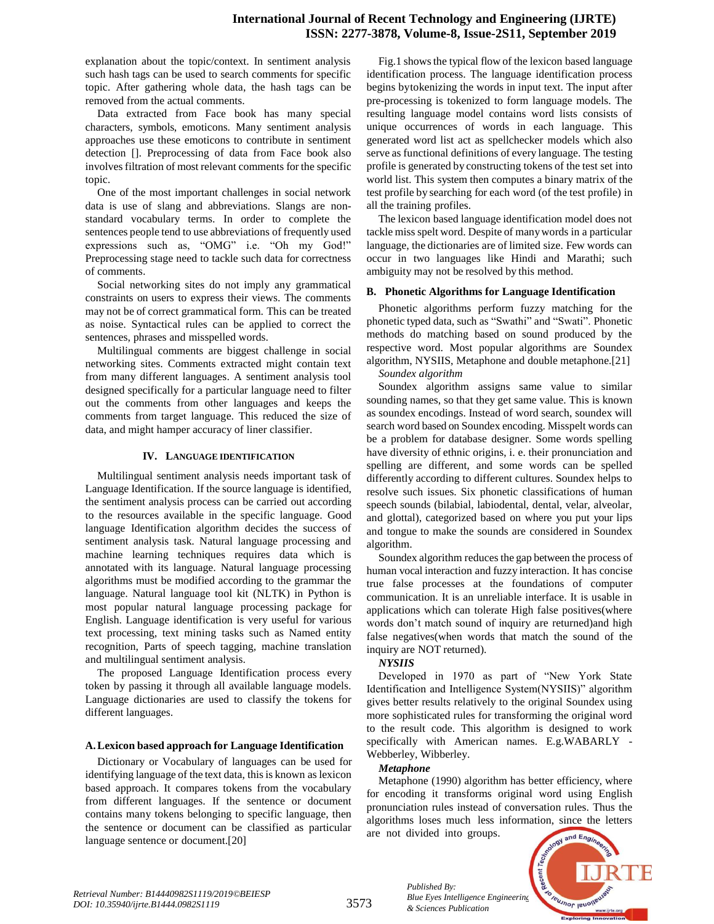# **International Journal of Recent Technology and Engineering (IJRTE) ISSN: 2277-3878, Volume-8, Issue-2S11, September 2019**

explanation about the topic/context. In sentiment analysis such hash tags can be used to search comments for specific topic. After gathering whole data, the hash tags can be removed from the actual comments.

Data extracted from Face book has many special characters, symbols, emoticons. Many sentiment analysis approaches use these emoticons to contribute in sentiment detection []. Preprocessing of data from Face book also involves filtration of most relevant comments for the specific topic.

One of the most important challenges in social network data is use of slang and abbreviations. Slangs are nonstandard vocabulary terms. In order to complete the sentences people tend to use abbreviations of frequently used expressions such as, "OMG" i.e. "Oh my God!" Preprocessing stage need to tackle such data for correctness of comments.

Social networking sites do not imply any grammatical constraints on users to express their views. The comments may not be of correct grammatical form. This can be treated as noise. Syntactical rules can be applied to correct the sentences, phrases and misspelled words.

Multilingual comments are biggest challenge in social networking sites. Comments extracted might contain text from many different languages. A sentiment analysis tool designed specifically for a particular language need to filter out the comments from other languages and keeps the comments from target language. This reduced the size of data, and might hamper accuracy of liner classifier.

## **IV. LANGUAGE IDENTIFICATION**

Multilingual sentiment analysis needs important task of Language Identification. If the source language is identified, the sentiment analysis process can be carried out according to the resources available in the specific language. Good language Identification algorithm decides the success of sentiment analysis task. Natural language processing and machine learning techniques requires data which is annotated with its language. Natural language processing algorithms must be modified according to the grammar the language. Natural language tool kit (NLTK) in Python is most popular natural language processing package for English. Language identification is very useful for various text processing, text mining tasks such as Named entity recognition, Parts of speech tagging, machine translation and multilingual sentiment analysis.

The proposed Language Identification process every token by passing it through all available language models. Language dictionaries are used to classify the tokens for different languages.

#### **A.Lexicon based approach for Language Identification**

Dictionary or Vocabulary of languages can be used for identifying language of the text data, this is known as lexicon based approach. It compares tokens from the vocabulary from different languages. If the sentence or document contains many tokens belonging to specific language, then the sentence or document can be classified as particular language sentence or document.[20]

Fig.1 showsthe typical flow of the lexicon based language identification process. The language identification process begins bytokenizing the words in input text. The input after pre-processing is tokenized to form language models. The resulting language model contains word lists consists of unique occurrences of words in each language. This generated word list act as spellchecker models which also serve as functional definitions of every language. The testing profile is generated by constructing tokens of the test set into world list. This system then computes a binary matrix of the test profile by searching for each word (of the test profile) in all the training profiles.

The lexicon based language identification model does not tackle miss spelt word. Despite of many words in a particular language, the dictionaries are of limited size. Few words can occur in two languages like Hindi and Marathi; such ambiguity may not be resolved by this method.

### **B. Phonetic Algorithms for Language Identification**

Phonetic algorithms perform fuzzy matching for the phonetic typed data, such as "Swathi" and "Swati". Phonetic methods do matching based on sound produced by the respective word. Most popular algorithms are Soundex algorithm, NYSIIS, Metaphone and double metaphone.[21] *Soundex algorithm*

Soundex algorithm assigns same value to similar sounding names, so that they get same value. This is known as soundex encodings. Instead of word search, soundex will search word based on Soundex encoding. Misspelt words can be a problem for database designer. Some words spelling have diversity of ethnic origins, i. e. their pronunciation and spelling are different, and some words can be spelled differently according to different cultures. Soundex helps to resolve such issues. Six phonetic classifications of human speech sounds (bilabial, labiodental, dental, velar, alveolar, and glottal), categorized based on where you put your lips and tongue to make the sounds are considered in Soundex algorithm.

Soundex algorithm reduces the gap between the process of human vocal interaction and fuzzy interaction. It has concise true false processes at the foundations of computer communication. It is an unreliable interface. It is usable in applications which can tolerate High false positives(where words don"t match sound of inquiry are returned)and high false negatives(when words that match the sound of the inquiry are NOT returned).

#### *NYSIIS*

Developed in 1970 as part of "New York State Identification and Intelligence System(NYSIIS)" algorithm gives better results relatively to the original Soundex using more sophisticated rules for transforming the original word to the result code. This algorithm is designed to work specifically with American names. E.g.WABARLY - Webberley, Wibberley.

#### *Metaphone*

*Published By:*

*& Sciences Publication*

Metaphone (1990) algorithm has better efficiency, where for encoding it transforms original word using English pronunciation rules instead of conversation rules. Thus the algorithms loses much less information, since the letters are not divided into groups.



*Retrieval Number: B14440982S1119/2019©BEIESP DOI: 10.35940/ijrte.B1444.0982S1119*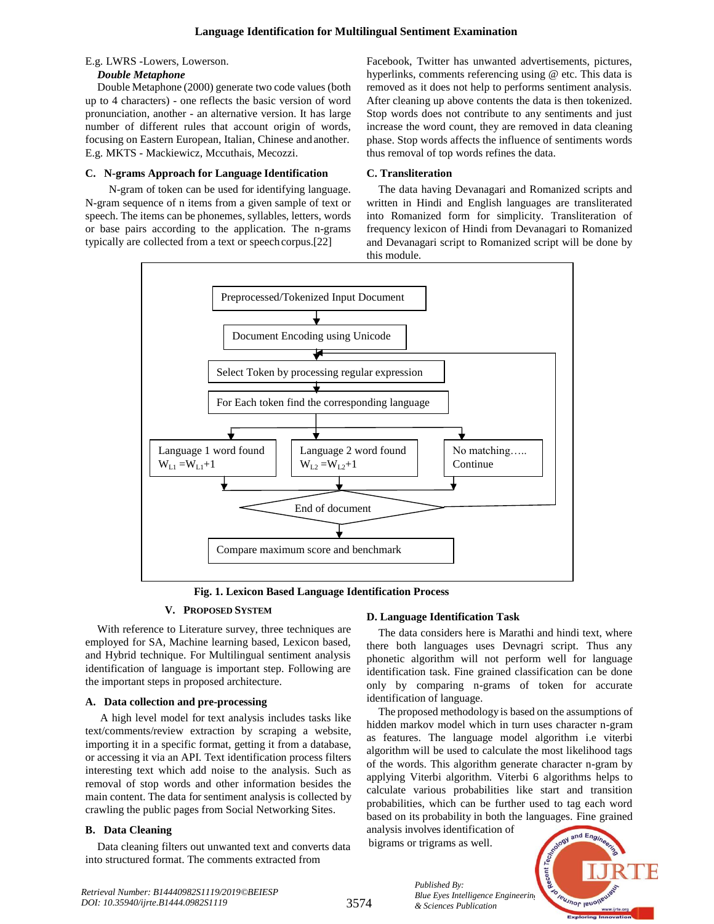## E.g. LWRS -Lowers, Lowerson.

## *Double Metaphone*

Double Metaphone (2000) generate two code values (both up to 4 characters) - one reflects the basic version of word pronunciation, another - an alternative version. It has large number of different rules that account origin of words, focusing on Eastern European, Italian, Chinese and another. E.g. MKTS - Mackiewicz, Mccuthais, Mecozzi.

# **C. N-grams Approach for Language Identification**

N-gram of token can be used for identifying language. N-gram sequence of n items from a given sample of text or speech. The items can be phonemes, syllables, letters, words or base pairs according to the application. The n-grams typically are collected from a text or speech corpus.[22]

Facebook, Twitter has unwanted advertisements, pictures, hyperlinks, comments referencing using @ etc. This data is removed as it does not help to performs sentiment analysis. After cleaning up above contents the data is then tokenized. Stop words does not contribute to any sentiments and just increase the word count, they are removed in data cleaning phase. Stop words affects the influence of sentiments words thus removal of top words refines the data.

# **C. Transliteration**

The data having Devanagari and Romanized scripts and written in Hindi and English languages are transliterated into Romanized form for simplicity. Transliteration of frequency lexicon of Hindi from Devanagari to Romanized and Devanagari script to Romanized script will be done by this module.



**Fig. 1. Lexicon Based Language Identification Process**

# **V. PROPOSED SYSTEM**

With reference to Literature survey, three techniques are employed for SA, Machine learning based, Lexicon based, and Hybrid technique. For Multilingual sentiment analysis identification of language is important step. Following are the important steps in proposed architecture.

# **A. Data collection and pre-processing**

A high level model for text analysis includes tasks like text/comments/review extraction by scraping a website, importing it in a specific format, getting it from a database, or accessing it via an API. Text identification process filters interesting text which add noise to the analysis. Such as removal of stop words and other information besides the main content. The data for sentiment analysis is collected by crawling the public pages from Social Networking Sites.

# **B. Data Cleaning**

Data cleaning filters out unwanted text and converts data into structured format. The comments extracted from

# **D. Language Identification Task**

The data considers here is Marathi and hindi text, where there both languages uses Devnagri script. Thus any phonetic algorithm will not perform well for language identification task. Fine grained classification can be done only by comparing n-grams of token for accurate identification of language.

The proposed methodology is based on the assumptions of hidden markov model which in turn uses character n-gram as features. The language model algorithm i.e viterbi algorithm will be used to calculate the most likelihood tags of the words. This algorithm generate character n-gram by applying Viterbi algorithm. Viterbi 6 algorithms helps to calculate various probabilities like start and transition probabilities, which can be further used to tag each word based on its probability in both the languages. Fine grained

analysis involves identification of bigrams or trigrams as well.

*Published By:*

*& Sciences Publication*

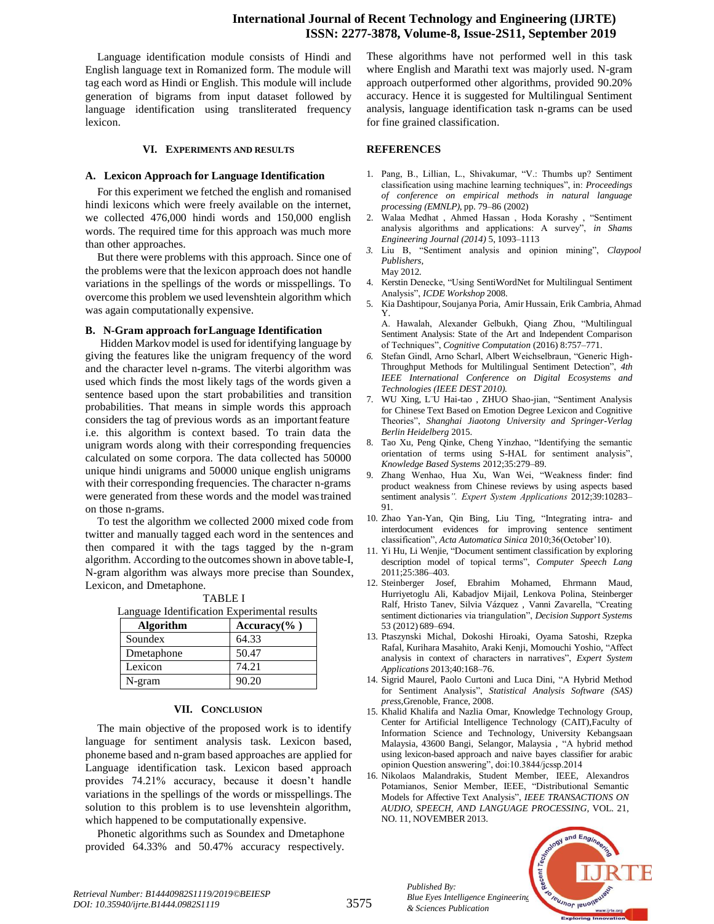# **International Journal of Recent Technology and Engineering (IJRTE) ISSN: 2277-3878, Volume-8, Issue-2S11, September 2019**

Language identification module consists of Hindi and English language text in Romanized form. The module will tag each word as Hindi or English. This module will include generation of bigrams from input dataset followed by language identification using transliterated frequency lexicon.

#### **VI. EXPERIMENTS AND RESULTS**

#### **A. Lexicon Approach for Language Identification**

For this experiment we fetched the english and romanised hindi lexicons which were freely available on the internet, we collected 476,000 hindi words and 150,000 english words. The required time for this approach was much more than other approaches.

But there were problems with this approach. Since one of the problems were that the lexicon approach does not handle variations in the spellings of the words or misspellings. To overcome this problem we used levenshtein algorithm which was again computationally expensive.

### **B. N-Gram approach forLanguage Identification**

Hidden Markov model is used for identifying language by giving the features like the unigram frequency of the word and the character level n-grams. The viterbi algorithm was used which finds the most likely tags of the words given a sentence based upon the start probabilities and transition probabilities. That means in simple words this approach considers the tag of previous words as an importantfeature i.e. this algorithm is context based. To train data the unigram words along with their corresponding frequencies calculated on some corpora. The data collected has 50000 unique hindi unigrams and 50000 unique english unigrams with their corresponding frequencies. The character n-grams were generated from these words and the model wastrained on those n-grams.

To test the algorithm we collected 2000 mixed code from twitter and manually tagged each word in the sentences and then compared it with the tags tagged by the n-gram algorithm. According to the outcomes shown in above table-I, N-gram algorithm was always more precise than Soundex, Lexicon, and Dmetaphone.

TABLE I Language Identification Experimental results

| Algorithm  | Accuracy $(\%$ ) |
|------------|------------------|
| Soundex    | 64.33            |
| Dmetaphone | 50.47            |
| Lexicon    | 74.21            |
| N-gram     | 90.20            |

#### **VII. CONCLUSION**

The main objective of the proposed work is to identify language for sentiment analysis task. Lexicon based, phoneme based and n-gram based approaches are applied for Language identification task. Lexicon based approach provides 74.21% accuracy, because it doesn"t handle variations in the spellings of the words or misspellings.The solution to this problem is to use levenshtein algorithm, which happened to be computationally expensive.

Phonetic algorithms such as Soundex and Dmetaphone provided 64.33% and 50.47% accuracy respectively.

These algorithms have not performed well in this task where English and Marathi text was majorly used. N-gram approach outperformed other algorithms, provided 90.20% accuracy. Hence it is suggested for Multilingual Sentiment analysis, language identification task n-grams can be used for fine grained classification.

## **REFERENCES**

- 1. Pang, B., Lillian, L., Shivakumar, "V.: Thumbs up? Sentiment classification using machine learning techniques", in: *Proceedings of conference on empirical methods in natural language processing (EMNLP)*, pp. 79–86 (2002)
- 2. Walaa Medhat , Ahmed Hassan , Hoda Korashy , "Sentiment analysis algorithms and applications: A survey", *in Shams Engineering Journal (2014)* 5, 1093–1113
- *3.* Liu B, "Sentiment analysis and opinion mining", *Claypool Publishers,* May 2012*.*
- 4. Kerstin Denecke, "Using SentiWordNet for Multilingual Sentiment Analysis", *ICDE Workshop* 2008.
- 5. Kia Dashtipour, Soujanya Poria, Amir Hussain, Erik Cambria, Ahmad Y.

A. Hawalah, Alexander Gelbukh, Qiang Zhou, "Multilingual Sentiment Analysis: State of the Art and Independent Comparison of Techniques", *Cognitive Computation* (2016) 8:757–771.

- *6.* Stefan Gindl, Arno Scharl, Albert Weichselbraun, "Generic High-Throughput Methods for Multilingual Sentiment Detection", *4th IEEE International Conference on Digital Ecosystems and Technologies (IEEE DEST 2010).*
- 7. WU Xing, L¨U Hai-tao , ZHUO Shao-jian, "Sentiment Analysis for Chinese Text Based on Emotion Degree Lexicon and Cognitive Theories", *Shanghai Jiaotong University and Springer-Verlag Berlin Heidelberg* 2015.
- 8. Tao Xu, Peng Qinke, Cheng Yinzhao, "Identifying the semantic orientation of terms using S-HAL for sentiment analysis", *Knowledge Based Systems* 2012;35:279–89.
- 9. Zhang Wenhao, Hua Xu, Wan Wei, "Weakness finder: find product weakness from Chinese reviews by using aspects based sentiment analysis*". Expert System Applications* 2012;39:10283– 91.
- 10. Zhao Yan-Yan, Qin Bing, Liu Ting, "Integrating intra- and interdocument evidences for improving sentence sentiment classification", *Acta Automatica Sinica* 2010;36(October"10).
- 11. Yi Hu, Li Wenjie, "Document sentiment classification by exploring description model of topical terms", *Computer Speech Lang*  2011;25:386–403.
- 12. Steinberger Josef, Ebrahim Mohamed, Ehrmann Maud, Hurriyetoglu Ali, Kabadjov Mijail, Lenkova Polina, Steinberger Ralf, Hristo Tanev, Silvia Vázquez , Vanni Zavarella, "Creating sentiment dictionaries via triangulation", *Decision Support Systems*  53 (2012) 689–694.
- 13. Ptaszynski Michal, Dokoshi Hiroaki, Oyama Satoshi, Rzepka Rafal, Kurihara Masahito, Araki Kenji, Momouchi Yoshio, "Affect analysis in context of characters in narratives", *Expert System Applications* 2013;40:168–76.
- 14. Sigrid Maurel, Paolo Curtoni and Luca Dini, "A Hybrid Method for Sentiment Analysis", *Statistical Analysis Software (SAS) press*,Grenoble, France, 2008.
- 15. Khalid Khalifa and Nazlia Omar, Knowledge Technology Group, Center for Artificial Intelligence Technology (CAIT),Faculty of Information Science and Technology, University Kebangsaan Malaysia, 43600 Bangi, Selangor, Malaysia , "A hybrid method using lexicon-based approach and naive bayes classifier for arabic opinion Question answering", doi:10.3844/jcssp.2014
- 16. Nikolaos Malandrakis, Student Member, IEEE, Alexandros Potamianos, Senior Member, IEEE, "Distributional Semantic Models for Affective Text Analysis", *IEEE TRANSACTIONS ON AUDIO, SPEECH, AND LANGUAGE PROCESSING,* VOL. 21, NO. 11, NOVEMBER 2013.



*Published By:*

*& Sciences Publication*